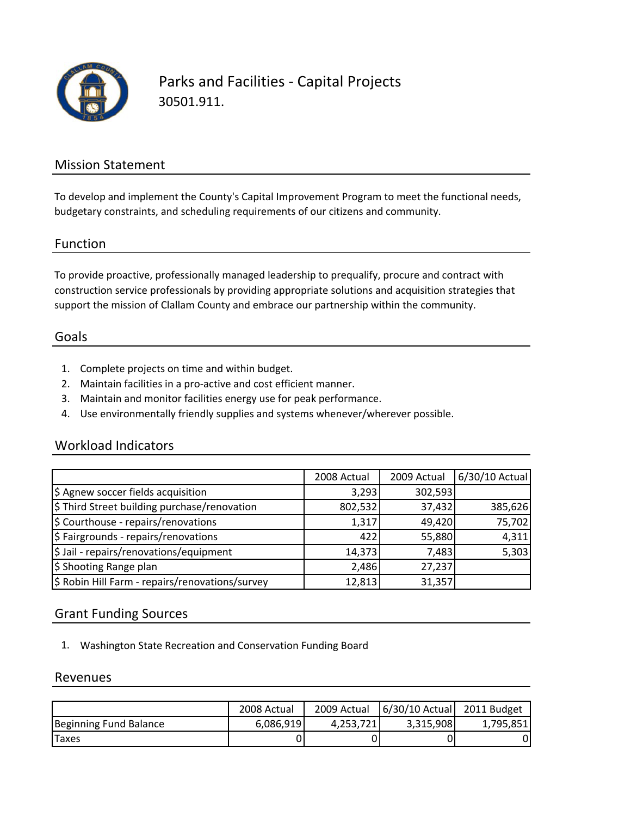

Parks and Facilities ‐ Capital Projects 30501.911.

### Mission Statement

To develop and implement the County's Capital Improvement Program to meet the functional needs, budgetary constraints, and scheduling requirements of our citizens and community.

#### Function

To provide proactive, professionally managed leadership to prequalify, procure and contract with construction service professionals by providing appropriate solutions and acquisition strategies that support the mission of Clallam County and embrace our partnership within the community.

#### Goals

- 1. Complete projects on time and within budget.
- 2. Maintain facilities in a pro‐active and cost efficient manner.
- 3. Maintain and monitor facilities energy use for peak performance.
- 4. Use environmentally friendly supplies and systems whenever/wherever possible.

#### Workload Indicators

|                                                 | 2008 Actual | 2009 Actual | 6/30/10 Actual |
|-------------------------------------------------|-------------|-------------|----------------|
| \$ Agnew soccer fields acquisition              | 3,293       | 302,593     |                |
| \$ Third Street building purchase/renovation    | 802,532     | 37,432      | 385,626        |
| \$ Courthouse - repairs/renovations             | 1,317       | 49,420      | 75,702         |
| \$ Fairgrounds - repairs/renovations            | 422         | 55,880      | 4,311          |
| \$ Jail - repairs/renovations/equipment         | 14,373      | 7,483       | 5,303          |
| \$ Shooting Range plan                          | 2,486       | 27,237      |                |
| \$ Robin Hill Farm - repairs/renovations/survey | 12,813      | 31,357      |                |

#### Grant Funding Sources

1. Washington State Recreation and Conservation Funding Board

#### Revenues

|                        | 2008 Actual | 2009 Actual | $6/30/10$ Actual | 2011 Budget |
|------------------------|-------------|-------------|------------------|-------------|
| Beginning Fund Balance | 6,086,919   | 4.253.721   | 3,315,908        | 1,795,851   |
| <b>Taxes</b>           |             |             |                  |             |